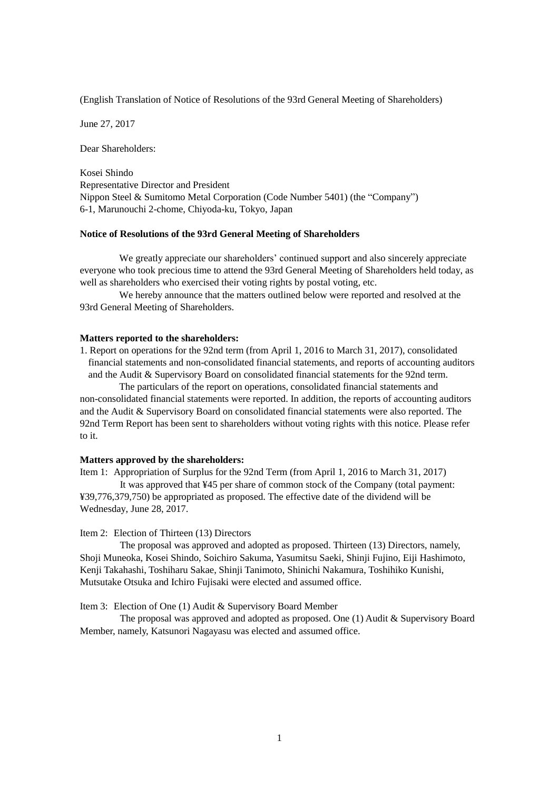(English Translation of Notice of Resolutions of the 93rd General Meeting of Shareholders)

June 27, 2017

Dear Shareholders:

Kosei Shindo Representative Director and President Nippon Steel & Sumitomo Metal Corporation (Code Number 5401) (the "Company") 6-1, Marunouchi 2-chome, Chiyoda-ku, Tokyo, Japan

### **Notice of Resolutions of the 93rd General Meeting of Shareholders**

We greatly appreciate our shareholders' continued support and also sincerely appreciate everyone who took precious time to attend the 93rd General Meeting of Shareholders held today, as well as shareholders who exercised their voting rights by postal voting, etc.

We hereby announce that the matters outlined below were reported and resolved at the 93rd General Meeting of Shareholders.

#### **Matters reported to the shareholders:**

1. Report on operations for the 92nd term (from April 1, 2016 to March 31, 2017), consolidated financial statements and non-consolidated financial statements, and reports of accounting auditors and the Audit & Supervisory Board on consolidated financial statements for the 92nd term.

The particulars of the report on operations, consolidated financial statements and non-consolidated financial statements were reported. In addition, the reports of accounting auditors and the Audit & Supervisory Board on consolidated financial statements were also reported. The 92nd Term Report has been sent to shareholders without voting rights with this notice. Please refer to it.

## **Matters approved by the shareholders:**

Item 1: Appropriation of Surplus for the 92nd Term (from April 1, 2016 to March 31, 2017) It was approved that ¥45 per share of common stock of the Company (total payment: ¥39,776,379,750) be appropriated as proposed. The effective date of the dividend will be Wednesday, June 28, 2017.

#### Item 2: Election of Thirteen (13) Directors

The proposal was approved and adopted as proposed. Thirteen (13) Directors, namely, Shoji Muneoka, Kosei Shindo, Soichiro Sakuma, Yasumitsu Saeki, Shinji Fujino, Eiji Hashimoto, Kenji Takahashi, Toshiharu Sakae, Shinji Tanimoto, Shinichi Nakamura, Toshihiko Kunishi, Mutsutake Otsuka and Ichiro Fujisaki were elected and assumed office.

## Item 3: Election of One (1) Audit & Supervisory Board Member

The proposal was approved and adopted as proposed. One (1) Audit & Supervisory Board Member, namely, Katsunori Nagayasu was elected and assumed office.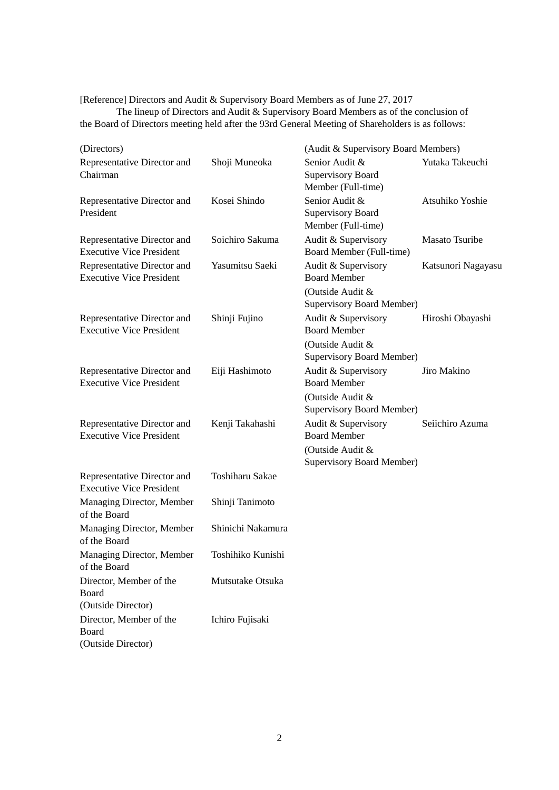[Reference] Directors and Audit & Supervisory Board Members as of June 27, 2017

The lineup of Directors and Audit & Supervisory Board Members as of the conclusion of the Board of Directors meeting held after the 93rd General Meeting of Shareholders is as follows:

| (Directors)                                                    |                   | (Audit & Supervisory Board Members)                              |                       |
|----------------------------------------------------------------|-------------------|------------------------------------------------------------------|-----------------------|
| Representative Director and<br>Chairman                        | Shoji Muneoka     | Senior Audit &<br><b>Supervisory Board</b><br>Member (Full-time) | Yutaka Takeuchi       |
| Representative Director and<br>President                       | Kosei Shindo      | Senior Audit &<br><b>Supervisory Board</b><br>Member (Full-time) | Atsuhiko Yoshie       |
| Representative Director and<br><b>Executive Vice President</b> | Soichiro Sakuma   | Audit & Supervisory<br>Board Member (Full-time)                  | <b>Masato Tsuribe</b> |
| Representative Director and<br><b>Executive Vice President</b> | Yasumitsu Saeki   | Audit & Supervisory<br><b>Board Member</b>                       | Katsunori Nagayasu    |
|                                                                |                   | (Outside Audit &<br><b>Supervisory Board Member)</b>             |                       |
| Representative Director and<br><b>Executive Vice President</b> | Shinji Fujino     | Audit & Supervisory<br><b>Board Member</b>                       | Hiroshi Obayashi      |
|                                                                |                   | (Outside Audit &<br><b>Supervisory Board Member)</b>             |                       |
| Representative Director and<br><b>Executive Vice President</b> | Eiji Hashimoto    | Audit & Supervisory<br><b>Board Member</b>                       | Jiro Makino           |
|                                                                |                   | (Outside Audit &<br><b>Supervisory Board Member)</b>             |                       |
| Representative Director and<br><b>Executive Vice President</b> | Kenji Takahashi   | Audit & Supervisory<br><b>Board Member</b><br>(Outside Audit &   | Seiichiro Azuma       |
| Representative Director and<br><b>Executive Vice President</b> | Toshiharu Sakae   | <b>Supervisory Board Member)</b>                                 |                       |
| Managing Director, Member<br>of the Board                      | Shinji Tanimoto   |                                                                  |                       |
| Managing Director, Member<br>of the Board                      | Shinichi Nakamura |                                                                  |                       |
| Managing Director, Member<br>of the Board                      | Toshihiko Kunishi |                                                                  |                       |
| Director, Member of the<br>Board                               | Mutsutake Otsuka  |                                                                  |                       |
| (Outside Director)                                             |                   |                                                                  |                       |
| Director, Member of the<br>Board<br>(Outside Director)         | Ichiro Fujisaki   |                                                                  |                       |
|                                                                |                   |                                                                  |                       |